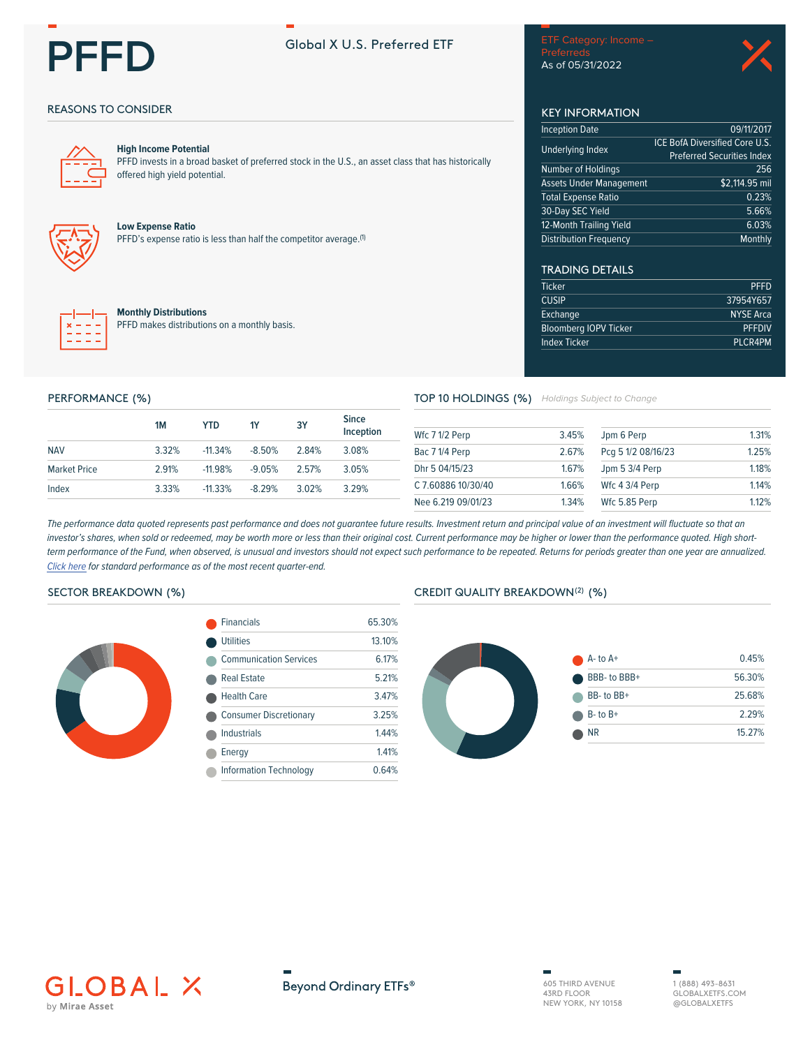

# Global X U.S. Preferred ETF

As of 05/31/2022

# **REASONS TO CONSIDER**



#### **High Income Potential**

PFFD invests in a broad basket of preferred stock in the U.S., an asset class that has historically offered high yield potential.



### **Low Expense Ratio**

PFFD's expense ratio is less than half the competitor average.<sup>(1)</sup>



#### **Monthly Distributions**

PFFD makes distributions on a monthly basis.

**KEY INFORMATION Inception Date** 

| Underlying Index        | ICE BOTA DIVERSITIED CORE U.S.<br><b>Preferred Securities Index</b> |
|-------------------------|---------------------------------------------------------------------|
| Number of Holdings      | 256                                                                 |
| Assets Under Management | \$2,114.95 mil                                                      |
| Total Expense Ratio     | 0.23%                                                               |
| 30-Day SEC Yield        | 5.66%                                                               |
| 12-Month Trailing Yield | 6.03%                                                               |
| Distribution Frequency  | Monthly                                                             |

09/11/2017

# **TRADING DETAILS**

| <b>PFFD</b>      | <b>Ticker</b>                |
|------------------|------------------------------|
| 37954Y657        | <b>CUSIP</b>                 |
| <b>NYSE Arca</b> | Exchange                     |
| <b>PFFDIV</b>    | <b>Bloomberg IOPV Ticker</b> |
| <b>PLCR4PM</b>   | <b>Index Ticker</b>          |
|                  |                              |

### PERFORMANCE (%)

|                     | 1M    | YTD       | <b>1Y</b> | 3Y    | <b>Since</b><br>Inception |
|---------------------|-------|-----------|-----------|-------|---------------------------|
| <b>NAV</b>          | 3.32% | $-11.34%$ | $-8.50%$  | 284%  | 3.08%                     |
| <b>Market Price</b> | 2 91% | $-11.98%$ | $-9.05%$  | 2.57% | 3.05%                     |
| Index               | 3.33% | $-11.33%$ | $-8.29%$  | 3.02% | 3 2 9%                    |

TOP 10 HOLDINGS (%) Holdings Subject to Change

| Wfc 7 1/2 Perp     | 3.45% | Jpm 6 Perp         | 1.31% |
|--------------------|-------|--------------------|-------|
| Bac 7 1/4 Perp     | 2.67% | Pcg 5 1/2 08/16/23 | 1.25% |
| Dhr 5 04/15/23     | 1.67% | Jpm 5 3/4 Perp     | 1.18% |
| C 7.60886 10/30/40 | 1.66% | Wfc 4 3/4 Perp     | 114%  |
| Nee 6.219 09/01/23 | 1.34% | Wfc 5.85 Perp      | 112%  |

The performance data quoted represents past performance and does not guarantee future results. Investment return and principal value of an investment will fluctuate so that an investor's shares, when sold or redeemed, may be worth more or less than their original cost. Current performance may be higher or lower than the performance quoted. High shortterm performance of the Fund, when observed, is unusual and investors should not expect such performance to be repeated. Returns for periods greater than one year are annualized. Click here for standard performance as of the most recent quarter-end.

#### SECTOR BREAKDOWN (%)



| <b>Financials</b>             | 65.30% |
|-------------------------------|--------|
| <b>Utilities</b>              | 13.10% |
| <b>Communication Services</b> | 6 17%  |
| Real Estate                   | 5 21%  |
| <b>Health Care</b>            | 3 4 7% |
| <b>Consumer Discretionary</b> | 3 2 5% |
| Industrials                   | 144%   |
| Energy                        | 1 4 1% |
| <b>Information Technology</b> | 0.64%  |
|                               |        |

# CREDIT QUALITY BREAKDOWN<sup>(2)</sup> (%)







605 THIRD AVENUE 43RD FLOOR<br>NEW YORK, NY 10158

1 (888) 493-8631 GLOBAL XETES COM @GLOBALXETFS